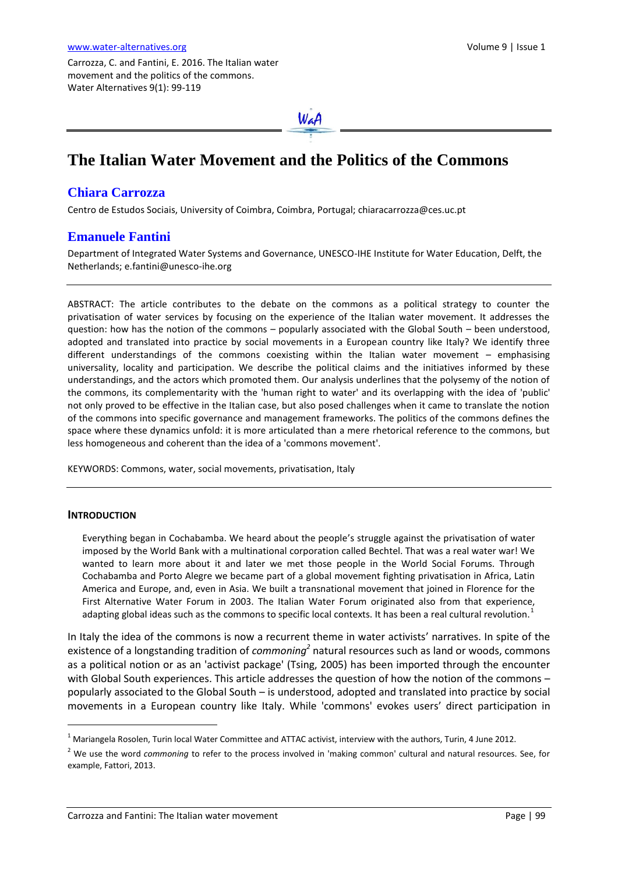Carrozza, C. and Fantini, E. 2016. The Italian water movement and the politics of the commons. Water Alternatives 9(1): 99-119



# **The Italian Water Movement and the Politics of the Commons**

# **Chiara Carrozza**

Centro de Estudos Sociais, University of Coimbra, Coimbra, Portugal; chiaracarrozza@ces.uc.pt

### **Emanuele Fantini**

Department of Integrated Water Systems and Governance, UNESCO-IHE Institute for Water Education, Delft, the Netherlands; [e.fantini@unesco-ihe.org](mailto:e.fantini@unesco-ihe.org)

ABSTRACT: The article contributes to the debate on the commons as a political strategy to counter the privatisation of water services by focusing on the experience of the Italian water movement. It addresses the question: how has the notion of the commons – popularly associated with the Global South – been understood, adopted and translated into practice by social movements in a European country like Italy? We identify three different understandings of the commons coexisting within the Italian water movement – emphasising universality, locality and participation. We describe the political claims and the initiatives informed by these understandings, and the actors which promoted them. Our analysis underlines that the polysemy of the notion of the commons, its complementarity with the 'human right to water' and its overlapping with the idea of 'public' not only proved to be effective in the Italian case, but also posed challenges when it came to translate the notion of the commons into specific governance and management frameworks. The politics of the commons defines the space where these dynamics unfold: it is more articulated than a mere rhetorical reference to the commons, but less homogeneous and coherent than the idea of a 'commons movement'.

KEYWORDS: Commons, water, social movements, privatisation, Italy

#### **INTRODUCTION**

 $\overline{a}$ 

Everything began in Cochabamba. We heard about the people's struggle against the privatisation of water imposed by the World Bank with a multinational corporation called Bechtel. That was a real water war! We wanted to learn more about it and later we met those people in the World Social Forums. Through Cochabamba and Porto Alegre we became part of a global movement fighting privatisation in Africa, Latin America and Europe, and, even in Asia. We built a transnational movement that joined in Florence for the First Alternative Water Forum in 2003. The Italian Water Forum originated also from that experience, adapting global ideas such as the commons to specific local contexts. It has been a real cultural revolution.<sup>1</sup>

In Italy the idea of the commons is now a recurrent theme in water activists' narratives. In spite of the existence of a longstanding tradition of *commoning*<sup>2</sup> natural resources such as land or woods, commons as a political notion or as an 'activist package' (Tsing, 2005) has been imported through the encounter with Global South experiences. This article addresses the question of how the notion of the commons – popularly associated to the Global South – is understood, adopted and translated into practice by social movements in a European country like Italy. While 'commons' evokes users' direct participation in

 $1$  Mariangela Rosolen, Turin local Water Committee and ATTAC activist, interview with the authors, Turin, 4 June 2012.

<sup>2</sup> We use the word *commoning* to refer to the process involved in 'making common' cultural and natural resources. See, for example, Fattori, 2013.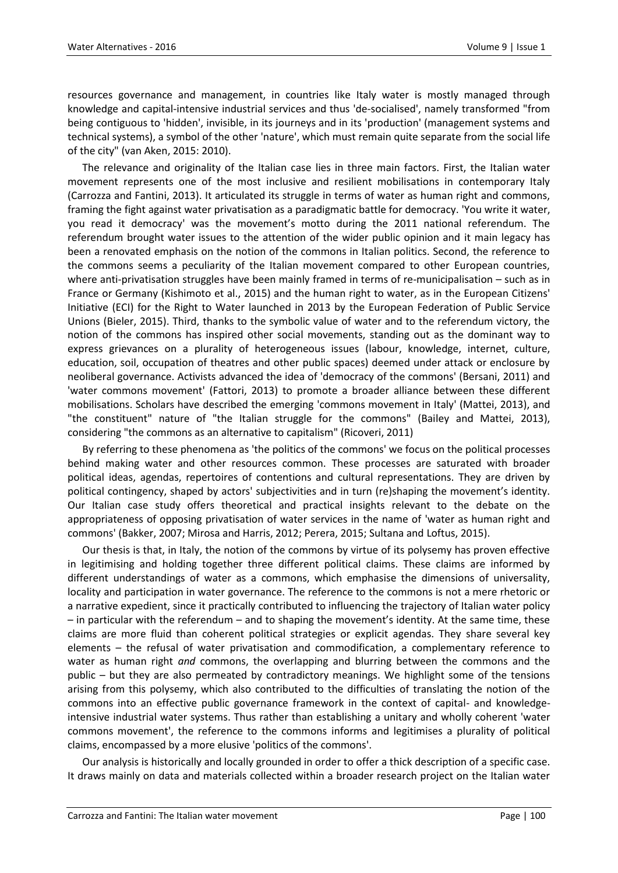resources governance and management, in countries like Italy water is mostly managed through knowledge and capital-intensive industrial services and thus 'de-socialised', namely transformed "from being contiguous to 'hidden', invisible, in its journeys and in its 'production' (management systems and technical systems), a symbol of the other 'nature', which must remain quite separate from the social life of the city" (van Aken, 2015: 2010).

The relevance and originality of the Italian case lies in three main factors. First, the Italian water movement represents one of the most inclusive and resilient mobilisations in contemporary Italy (Carrozza and Fantini, 2013). It articulated its struggle in terms of water as human right and commons, framing the fight against water privatisation as a paradigmatic battle for democracy. 'You write it water, you read it democracy' was the movement's motto during the 2011 national referendum. The referendum brought water issues to the attention of the wider public opinion and it main legacy has been a renovated emphasis on the notion of the commons in Italian politics. Second, the reference to the commons seems a peculiarity of the Italian movement compared to other European countries, where anti-privatisation struggles have been mainly framed in terms of re-municipalisation – such as in France or Germany (Kishimoto et al., 2015) and the human right to water, as in the European Citizens' Initiative (ECI) for the Right to Water launched in 2013 by the European Federation of Public Service Unions (Bieler, 2015). Third, thanks to the symbolic value of water and to the referendum victory, the notion of the commons has inspired other social movements, standing out as the dominant way to express grievances on a plurality of heterogeneous issues (labour, knowledge, internet, culture, education, soil, occupation of theatres and other public spaces) deemed under attack or enclosure by neoliberal governance. Activists advanced the idea of 'democracy of the commons' (Bersani, 2011) and 'water commons movement' (Fattori, 2013) to promote a broader alliance between these different mobilisations. Scholars have described the emerging 'commons movement in Italy' (Mattei, 2013), and "the constituent" nature of "the Italian struggle for the commons" (Bailey and Mattei, 2013), considering "the commons as an alternative to capitalism" (Ricoveri, 2011)

By referring to these phenomena as 'the politics of the commons' we focus on the political processes behind making water and other resources common. These processes are saturated with broader political ideas, agendas, repertoires of contentions and cultural representations. They are driven by political contingency, shaped by actors' subjectivities and in turn (re)shaping the movement's identity. Our Italian case study offers theoretical and practical insights relevant to the debate on the appropriateness of opposing privatisation of water services in the name of 'water as human right and commons' (Bakker, 2007; Mirosa and Harris, 2012; Perera, 2015; Sultana and Loftus, 2015).

Our thesis is that, in Italy, the notion of the commons by virtue of its polysemy has proven effective in legitimising and holding together three different political claims. These claims are informed by different understandings of water as a commons, which emphasise the dimensions of universality, locality and participation in water governance. The reference to the commons is not a mere rhetoric or a narrative expedient, since it practically contributed to influencing the trajectory of Italian water policy – in particular with the referendum – and to shaping the movement's identity. At the same time, these claims are more fluid than coherent political strategies or explicit agendas. They share several key elements – the refusal of water privatisation and commodification, a complementary reference to water as human right *and* commons, the overlapping and blurring between the commons and the public – but they are also permeated by contradictory meanings. We highlight some of the tensions arising from this polysemy, which also contributed to the difficulties of translating the notion of the commons into an effective public governance framework in the context of capital- and knowledgeintensive industrial water systems. Thus rather than establishing a unitary and wholly coherent 'water commons movement', the reference to the commons informs and legitimises a plurality of political claims, encompassed by a more elusive 'politics of the commons'.

Our analysis is historically and locally grounded in order to offer a thick description of a specific case. It draws mainly on data and materials collected within a broader research project on the Italian water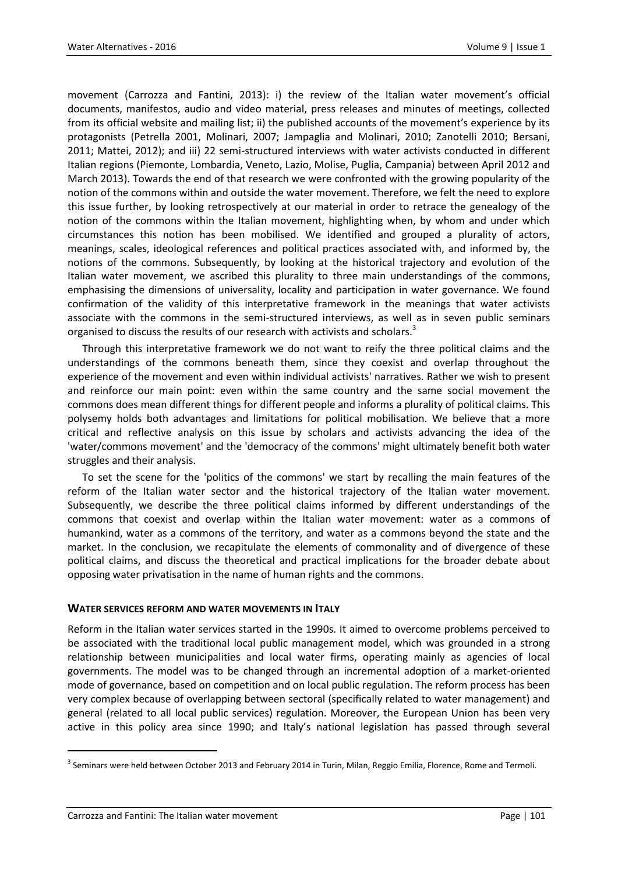movement (Carrozza and Fantini, 2013): i) the review of the Italian water movement's official documents, manifestos, audio and video material, press releases and minutes of meetings, collected from its official website and mailing list; ii) the published accounts of the movement's experience by its protagonists (Petrella 2001, Molinari, 2007; Jampaglia and Molinari, 2010; Zanotelli 2010; Bersani, 2011; Mattei, 2012); and iii) 22 semi-structured interviews with water activists conducted in different Italian regions (Piemonte, Lombardia, Veneto, Lazio, Molise, Puglia, Campania) between April 2012 and March 2013). Towards the end of that research we were confronted with the growing popularity of the notion of the commons within and outside the water movement. Therefore, we felt the need to explore this issue further, by looking retrospectively at our material in order to retrace the genealogy of the notion of the commons within the Italian movement, highlighting when, by whom and under which circumstances this notion has been mobilised. We identified and grouped a plurality of actors, meanings, scales, ideological references and political practices associated with, and informed by, the notions of the commons. Subsequently, by looking at the historical trajectory and evolution of the Italian water movement, we ascribed this plurality to three main understandings of the commons, emphasising the dimensions of universality, locality and participation in water governance. We found confirmation of the validity of this interpretative framework in the meanings that water activists associate with the commons in the semi-structured interviews, as well as in seven public seminars organised to discuss the results of our research with activists and scholars.<sup>3</sup>

Through this interpretative framework we do not want to reify the three political claims and the understandings of the commons beneath them, since they coexist and overlap throughout the experience of the movement and even within individual activists' narratives. Rather we wish to present and reinforce our main point: even within the same country and the same social movement the commons does mean different things for different people and informs a plurality of political claims. This polysemy holds both advantages and limitations for political mobilisation. We believe that a more critical and reflective analysis on this issue by scholars and activists advancing the idea of the 'water/commons movement' and the 'democracy of the commons' might ultimately benefit both water struggles and their analysis.

To set the scene for the 'politics of the commons' we start by recalling the main features of the reform of the Italian water sector and the historical trajectory of the Italian water movement. Subsequently, we describe the three political claims informed by different understandings of the commons that coexist and overlap within the Italian water movement: water as a commons of humankind, water as a commons of the territory, and water as a commons beyond the state and the market. In the conclusion, we recapitulate the elements of commonality and of divergence of these political claims, and discuss the theoretical and practical implications for the broader debate about opposing water privatisation in the name of human rights and the commons.

#### **WATER SERVICES REFORM AND WATER MOVEMENTS IN ITALY**

Reform in the Italian water services started in the 1990s. It aimed to overcome problems perceived to be associated with the traditional local public management model, which was grounded in a strong relationship between municipalities and local water firms, operating mainly as agencies of local governments. The model was to be changed through an incremental adoption of a market-oriented mode of governance, based on competition and on local public regulation. The reform process has been very complex because of overlapping between sectoral (specifically related to water management) and general (related to all local public services) regulation. Moreover, the European Union has been very active in this policy area since 1990; and Italy's national legislation has passed through several

 $^3$  Seminars were held between October 2013 and February 2014 in Turin, Milan, Reggio Emilia, Florence, Rome and Termoli.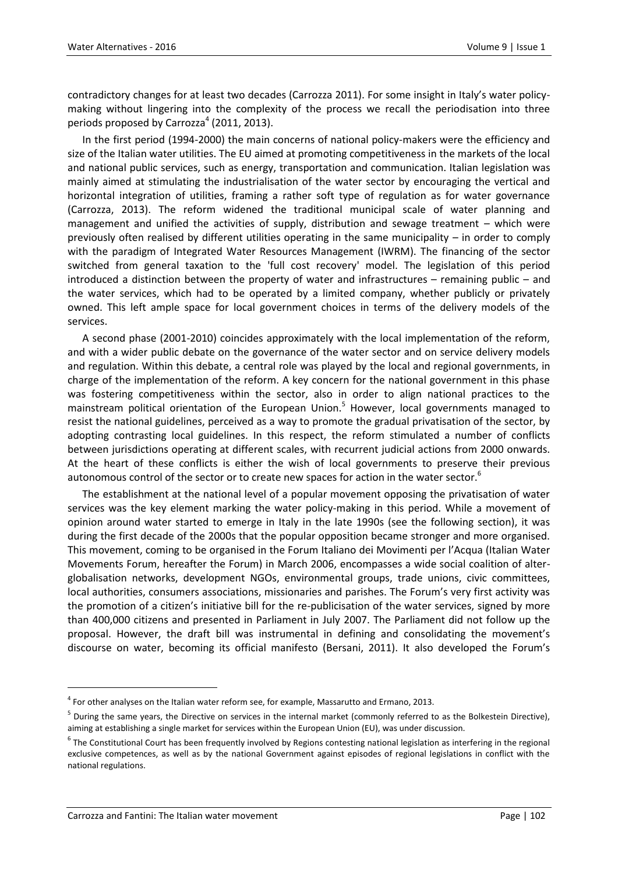contradictory changes for at least two decades (Carrozza 2011). For some insight in Italy's water policymaking without lingering into the complexity of the process we recall the periodisation into three periods proposed by Carrozza $^4$  (2011, 2013).

In the first period (1994-2000) the main concerns of national policy-makers were the efficiency and size of the Italian water utilities. The EU aimed at promoting competitiveness in the markets of the local and national public services, such as energy, transportation and communication. Italian legislation was mainly aimed at stimulating the industrialisation of the water sector by encouraging the vertical and horizontal integration of utilities, framing a rather soft type of regulation as for water governance (Carrozza, 2013). The reform widened the traditional municipal scale of water planning and management and unified the activities of supply, distribution and sewage treatment – which were previously often realised by different utilities operating in the same municipality – in order to comply with the paradigm of Integrated Water Resources Management (IWRM). The financing of the sector switched from general taxation to the 'full cost recovery' model. The legislation of this period introduced a distinction between the property of water and infrastructures – remaining public – and the water services, which had to be operated by a limited company, whether publicly or privately owned. This left ample space for local government choices in terms of the delivery models of the services.

A second phase (2001-2010) coincides approximately with the local implementation of the reform, and with a wider public debate on the governance of the water sector and on service delivery models and regulation. Within this debate, a central role was played by the local and regional governments, in charge of the implementation of the reform. A key concern for the national government in this phase was fostering competitiveness within the sector, also in order to align national practices to the mainstream political orientation of the European Union.<sup>5</sup> However, local governments managed to resist the national guidelines, perceived as a way to promote the gradual privatisation of the sector, by adopting contrasting local guidelines. In this respect, the reform stimulated a number of conflicts between jurisdictions operating at different scales, with recurrent judicial actions from 2000 onwards. At the heart of these conflicts is either the wish of local governments to preserve their previous autonomous control of the sector or to create new spaces for action in the water sector.<sup>6</sup>

The establishment at the national level of a popular movement opposing the privatisation of water services was the key element marking the water policy-making in this period. While a movement of opinion around water started to emerge in Italy in the late 1990s (see the following section), it was during the first decade of the 2000s that the popular opposition became stronger and more organised. This movement, coming to be organised in the Forum Italiano dei Movimenti per l'Acqua (Italian Water Movements Forum, hereafter the Forum) in March 2006, encompasses a wide social coalition of alterglobalisation networks, development NGOs, environmental groups, trade unions, civic committees, local authorities, consumers associations, missionaries and parishes. The Forum's very first activity was the promotion of a citizen's initiative bill for the re-publicisation of the water services, signed by more than 400,000 citizens and presented in Parliament in July 2007. The Parliament did not follow up the proposal. However, the draft bill was instrumental in defining and consolidating the movement's discourse on water, becoming its official manifesto (Bersani, 2011). It also developed the Forum's

 $<sup>4</sup>$  For other analyses on the Italian water reform see, for example, Massarutto and Ermano, 2013.</sup>

<sup>&</sup>lt;sup>5</sup> During the same years, the Directive on services in the internal market (commonly referred to as the Bolkestein Directive), aiming at establishing a single market for services within the European Union (EU), was under discussion.

<sup>&</sup>lt;sup>6</sup> The Constitutional Court has been frequently involved by Regions contesting national legislation as interfering in the regional exclusive competences, as well as by the national Government against episodes of regional legislations in conflict with the national regulations.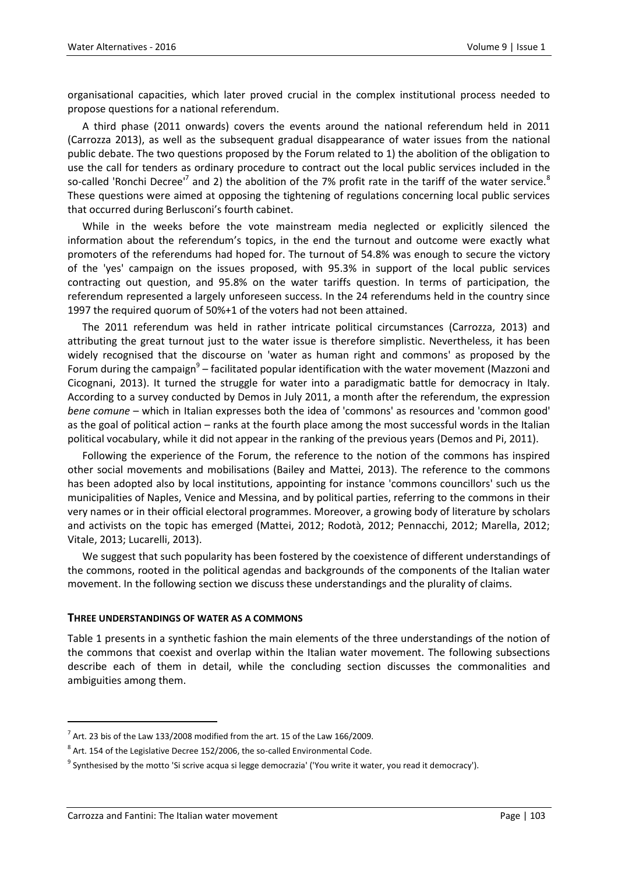organisational capacities, which later proved crucial in the complex institutional process needed to propose questions for a national referendum.

A third phase (2011 onwards) covers the events around the national referendum held in 2011 (Carrozza 2013), as well as the subsequent gradual disappearance of water issues from the national public debate. The two questions proposed by the Forum related to 1) the abolition of the obligation to use the call for tenders as ordinary procedure to contract out the local public services included in the so-called 'Ronchi Decree'<sup>7</sup> and 2) the abolition of the 7% profit rate in the tariff of the water service. $^8$ These questions were aimed at opposing the tightening of regulations concerning local public services that occurred during Berlusconi's fourth cabinet.

While in the weeks before the vote mainstream media neglected or explicitly silenced the information about the referendum's topics, in the end the turnout and outcome were exactly what promoters of the referendums had hoped for. The turnout of 54.8% was enough to secure the victory of the 'yes' campaign on the issues proposed, with 95.3% in support of the local public services contracting out question, and 95.8% on the water tariffs question. In terms of participation, the referendum represented a largely unforeseen success. In the 24 referendums held in the country since 1997 the required quorum of 50%+1 of the voters had not been attained.

The 2011 referendum was held in rather intricate political circumstances (Carrozza, 2013) and attributing the great turnout just to the water issue is therefore simplistic. Nevertheless, it has been widely recognised that the discourse on 'water as human right and commons' as proposed by the Forum during the campaign<sup>9</sup> – facilitated popular identification with the water movement (Mazzoni and Cicognani, 2013). It turned the struggle for water into a paradigmatic battle for democracy in Italy. According to a survey conducted by Demos in July 2011, a month after the referendum, the expression *bene comune* – which in Italian expresses both the idea of 'commons' as resources and 'common good' as the goal of political action – ranks at the fourth place among the most successful words in the Italian political vocabulary, while it did not appear in the ranking of the previous years (Demos and Pi, 2011).

Following the experience of the Forum, the reference to the notion of the commons has inspired other social movements and mobilisations (Bailey and Mattei, 2013). The reference to the commons has been adopted also by local institutions, appointing for instance 'commons councillors' such us the municipalities of Naples, Venice and Messina, and by political parties, referring to the commons in their very names or in their official electoral programmes. Moreover, a growing body of literature by scholars and activists on the topic has emerged (Mattei, 2012; Rodotà, 2012; Pennacchi, 2012; Marella, 2012; Vitale, 2013; Lucarelli, 2013).

We suggest that such popularity has been fostered by the coexistence of different understandings of the commons, rooted in the political agendas and backgrounds of the components of the Italian water movement. In the following section we discuss these understandings and the plurality of claims.

#### **THREE UNDERSTANDINGS OF WATER AS A COMMONS**

Table 1 presents in a synthetic fashion the main elements of the three understandings of the notion of the commons that coexist and overlap within the Italian water movement. The following subsections describe each of them in detail, while the concluding section discusses the commonalities and ambiguities among them.

 $^7$  Art. 23 bis of the Law 133/2008 modified from the art. 15 of the Law 166/2009.

 $^8$  Art. 154 of the Legislative Decree 152/2006, the so-called Environmental Code.

 $^9$  Synthesised by the motto 'Si scrive acqua si legge democrazia' ('You write it water, you read it democracy').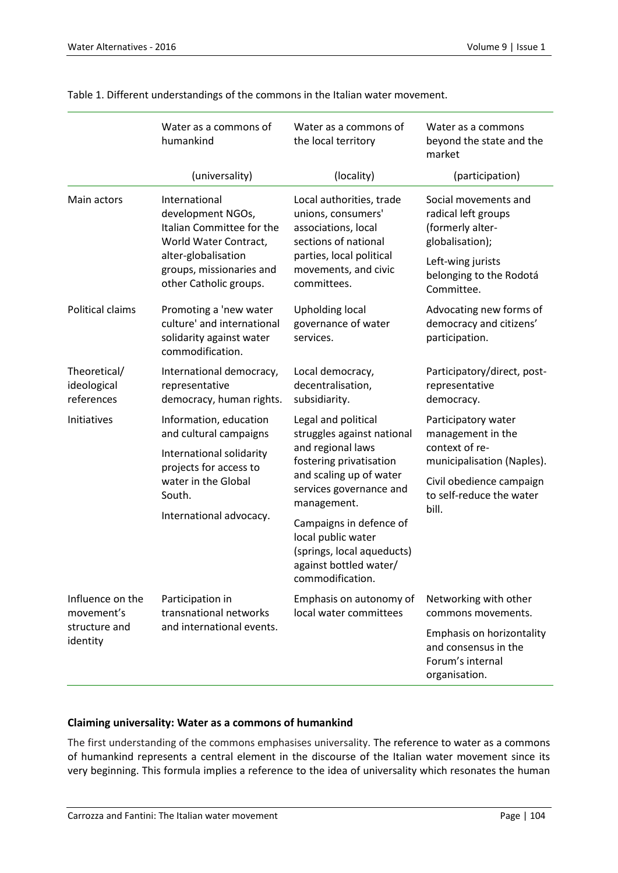|                                                             | Water as a commons of<br>humankind                                                                                                                                    | Water as a commons of<br>the local territory                                                                                                                                                                                                                                                        | Water as a commons<br>beyond the state and the<br>market                                                                                                  |
|-------------------------------------------------------------|-----------------------------------------------------------------------------------------------------------------------------------------------------------------------|-----------------------------------------------------------------------------------------------------------------------------------------------------------------------------------------------------------------------------------------------------------------------------------------------------|-----------------------------------------------------------------------------------------------------------------------------------------------------------|
|                                                             | (universality)                                                                                                                                                        | (locality)                                                                                                                                                                                                                                                                                          | (participation)                                                                                                                                           |
| Main actors                                                 | International<br>development NGOs,<br>Italian Committee for the<br>World Water Contract,<br>alter-globalisation<br>groups, missionaries and<br>other Catholic groups. | Local authorities, trade<br>unions, consumers'<br>associations, local<br>sections of national<br>parties, local political<br>movements, and civic<br>committees.                                                                                                                                    | Social movements and<br>radical left groups<br>(formerly alter-<br>globalisation);<br>Left-wing jurists<br>belonging to the Rodotá<br>Committee.          |
| Political claims                                            | Promoting a 'new water<br>culture' and international<br>solidarity against water<br>commodification.                                                                  | <b>Upholding local</b><br>governance of water<br>services.                                                                                                                                                                                                                                          | Advocating new forms of<br>democracy and citizens'<br>participation.                                                                                      |
| Theoretical/<br>ideological<br>references                   | International democracy,<br>representative<br>democracy, human rights.                                                                                                | Local democracy,<br>decentralisation,<br>subsidiarity.                                                                                                                                                                                                                                              | Participatory/direct, post-<br>representative<br>democracy.                                                                                               |
| Initiatives                                                 | Information, education<br>and cultural campaigns<br>International solidarity<br>projects for access to<br>water in the Global<br>South.<br>International advocacy.    | Legal and political<br>struggles against national<br>and regional laws<br>fostering privatisation<br>and scaling up of water<br>services governance and<br>management.<br>Campaigns in defence of<br>local public water<br>(springs, local aqueducts)<br>against bottled water/<br>commodification. | Participatory water<br>management in the<br>context of re-<br>municipalisation (Naples).<br>Civil obedience campaign<br>to self-reduce the water<br>bill. |
| Influence on the<br>movement's<br>structure and<br>identity | Participation in<br>transnational networks<br>and international events.                                                                                               | Emphasis on autonomy of<br>local water committees                                                                                                                                                                                                                                                   | Networking with other<br>commons movements.<br>Emphasis on horizontality<br>and consensus in the<br>Forum's internal<br>organisation.                     |

Table 1. Different understandings of the commons in the Italian water movement.

## **Claiming universality: Water as a commons of humankind**

The first understanding of the commons emphasises universality. The reference to water as a commons of humankind represents a central element in the discourse of the Italian water movement since its very beginning. This formula implies a reference to the idea of universality which resonates the human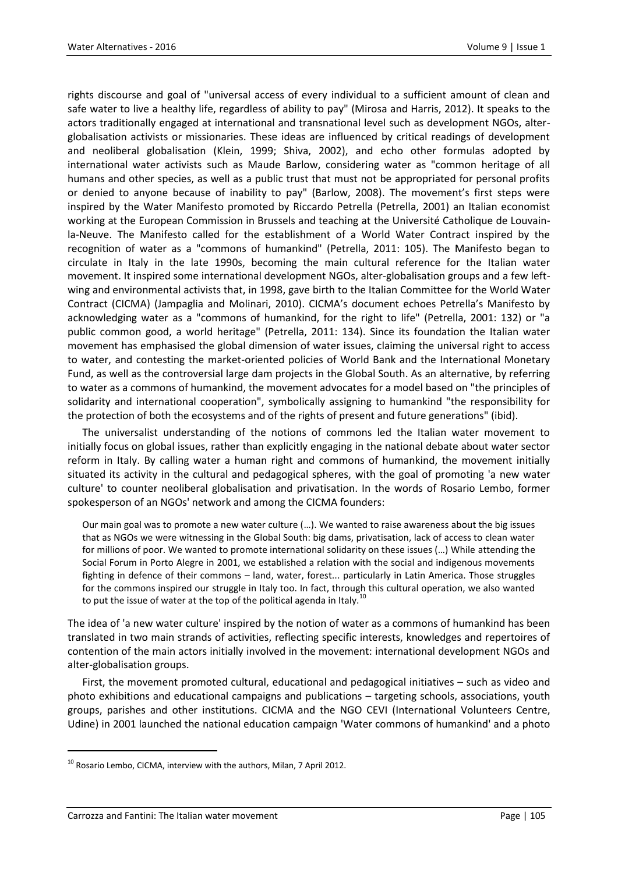rights discourse and goal of "universal access of every individual to a sufficient amount of clean and safe water to live a healthy life, regardless of ability to pay" (Mirosa and Harris, 2012). It speaks to the actors traditionally engaged at international and transnational level such as development NGOs, alterglobalisation activists or missionaries. These ideas are influenced by critical readings of development and neoliberal globalisation (Klein, 1999; Shiva, 2002), and echo other formulas adopted by international water activists such as Maude Barlow, considering water as "common heritage of all humans and other species, as well as a public trust that must not be appropriated for personal profits or denied to anyone because of inability to pay" (Barlow, 2008). The movement's first steps were inspired by the Water Manifesto promoted by Riccardo Petrella (Petrella, 2001) an Italian economist working at the European Commission in Brussels and teaching at the Université Catholique de Louvainla-Neuve. The Manifesto called for the establishment of a World Water Contract inspired by the recognition of water as a "commons of humankind" (Petrella, 2011: 105). The Manifesto began to circulate in Italy in the late 1990s, becoming the main cultural reference for the Italian water movement. It inspired some international development NGOs, alter-globalisation groups and a few leftwing and environmental activists that, in 1998, gave birth to the Italian Committee for the World Water Contract (CICMA) (Jampaglia and Molinari, 2010). CICMA's document echoes Petrella's Manifesto by acknowledging water as a "commons of humankind, for the right to life" (Petrella, 2001: 132) or "a public common good, a world heritage" (Petrella, 2011: 134). Since its foundation the Italian water movement has emphasised the global dimension of water issues, claiming the universal right to access to water, and contesting the market-oriented policies of World Bank and the International Monetary Fund, as well as the controversial large dam projects in the Global South. As an alternative, by referring to water as a commons of humankind, the movement advocates for a model based on "the principles of solidarity and international cooperation", symbolically assigning to humankind "the responsibility for the protection of both the ecosystems and of the rights of present and future generations" (ibid).

The universalist understanding of the notions of commons led the Italian water movement to initially focus on global issues, rather than explicitly engaging in the national debate about water sector reform in Italy. By calling water a human right and commons of humankind, the movement initially situated its activity in the cultural and pedagogical spheres, with the goal of promoting 'a new water culture' to counter neoliberal globalisation and privatisation. In the words of Rosario Lembo, former spokesperson of an NGOs' network and among the CICMA founders:

Our main goal was to promote a new water culture (…). We wanted to raise awareness about the big issues that as NGOs we were witnessing in the Global South: big dams, privatisation, lack of access to clean water for millions of poor. We wanted to promote international solidarity on these issues (…) While attending the Social Forum in Porto Alegre in 2001, we established a relation with the social and indigenous movements fighting in defence of their commons – land, water, forest... particularly in Latin America. Those struggles for the commons inspired our struggle in Italy too. In fact, through this cultural operation, we also wanted to put the issue of water at the top of the political agenda in Italy.

The idea of 'a new water culture' inspired by the notion of water as a commons of humankind has been translated in two main strands of activities, reflecting specific interests, knowledges and repertoires of contention of the main actors initially involved in the movement: international development NGOs and alter-globalisation groups.

First, the movement promoted cultural, educational and pedagogical initiatives – such as video and photo exhibitions and educational campaigns and publications – targeting schools, associations, youth groups, parishes and other institutions. CICMA and the NGO CEVI (International Volunteers Centre, Udine) in 2001 launched the national education campaign 'Water commons of humankind' and a photo

 $^{10}$  Rosario Lembo, CICMA, interview with the authors, Milan, 7 April 2012.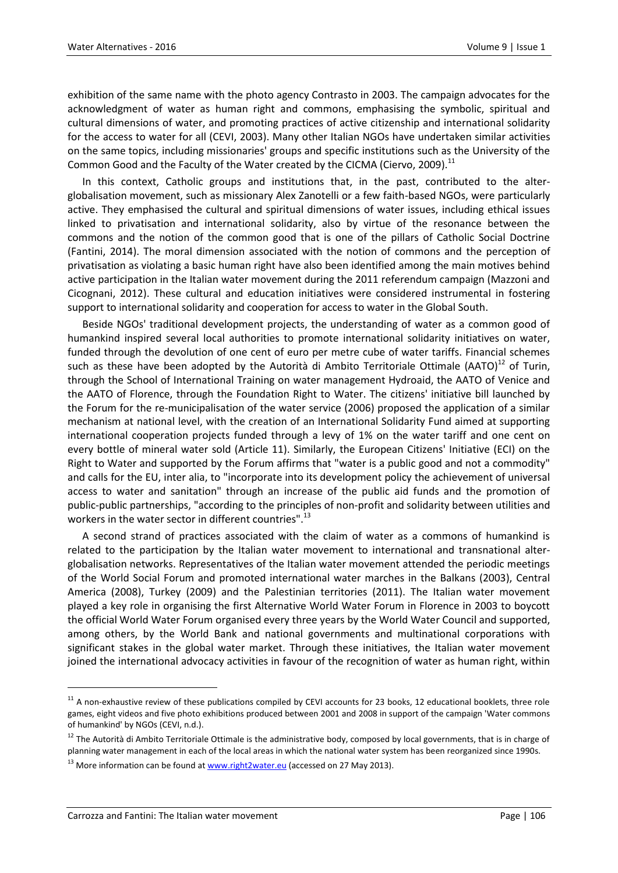exhibition of the same name with the photo agency Contrasto in 2003. The campaign advocates for the acknowledgment of water as human right and commons, emphasising the symbolic, spiritual and cultural dimensions of water, and promoting practices of active citizenship and international solidarity for the access to water for all (CEVI, 2003). Many other Italian NGOs have undertaken similar activities on the same topics, including missionaries' groups and specific institutions such as the University of the Common Good and the Faculty of the Water created by the CICMA (Ciervo, 2009).<sup>11</sup>

In this context, Catholic groups and institutions that, in the past, contributed to the alterglobalisation movement, such as missionary Alex Zanotelli or a few faith-based NGOs, were particularly active. They emphasised the cultural and spiritual dimensions of water issues, including ethical issues linked to privatisation and international solidarity, also by virtue of the resonance between the commons and the notion of the common good that is one of the pillars of Catholic Social Doctrine (Fantini, 2014). The moral dimension associated with the notion of commons and the perception of privatisation as violating a basic human right have also been identified among the main motives behind active participation in the Italian water movement during the 2011 referendum campaign (Mazzoni and Cicognani, 2012). These cultural and education initiatives were considered instrumental in fostering support to international solidarity and cooperation for access to water in the Global South.

Beside NGOs' traditional development projects, the understanding of water as a common good of humankind inspired several local authorities to promote international solidarity initiatives on water, funded through the devolution of one cent of euro per metre cube of water tariffs. Financial schemes such as these have been adopted by the Autorità di Ambito Territoriale Ottimale (AATO) $^{12}$  of Turin, through the School of International Training on water management Hydroaid, the AATO of Venice and the AATO of Florence, through the Foundation Right to Water. The citizens' initiative bill launched by the Forum for the re-municipalisation of the water service (2006) proposed the application of a similar mechanism at national level, with the creation of an International Solidarity Fund aimed at supporting international cooperation projects funded through a levy of 1% on the water tariff and one cent on every bottle of mineral water sold (Article 11). Similarly, the European Citizens' Initiative (ECI) on the Right to Water and supported by the Forum affirms that "water is a public good and not a commodity" and calls for the EU, inter alia, to "incorporate into its development policy the achievement of universal access to water and sanitation" through an increase of the public aid funds and the promotion of public-public partnerships, "according to the principles of non-profit and solidarity between utilities and workers in the water sector in different countries".<sup>13</sup>

A second strand of practices associated with the claim of water as a commons of humankind is related to the participation by the Italian water movement to international and transnational alterglobalisation networks. Representatives of the Italian water movement attended the periodic meetings of the World Social Forum and promoted international water marches in the Balkans (2003), Central America (2008), Turkey (2009) and the Palestinian territories (2011). The Italian water movement played a key role in organising the first Alternative World Water Forum in Florence in 2003 to boycott the official World Water Forum organised every three years by the World Water Council and supported, among others, by the World Bank and national governments and multinational corporations with significant stakes in the global water market. Through these initiatives, the Italian water movement joined the international advocacy activities in favour of the recognition of water as human right, within

 $11$  A non-exhaustive review of these publications compiled by CEVI accounts for 23 books, 12 educational booklets, three role games, eight videos and five photo exhibitions produced between 2001 and 2008 in support of the campaign 'Water commons of humankind' by NGOs (CEVI, n.d.).

<sup>&</sup>lt;sup>12</sup> The Autorità di Ambito Territoriale Ottimale is the administrative body, composed by local governments, that is in charge of planning water management in each of the local areas in which the national water system has been reorganized since 1990s.

<sup>&</sup>lt;sup>13</sup> More information can be found at **www.right2water.eu** (accessed on 27 May 2013).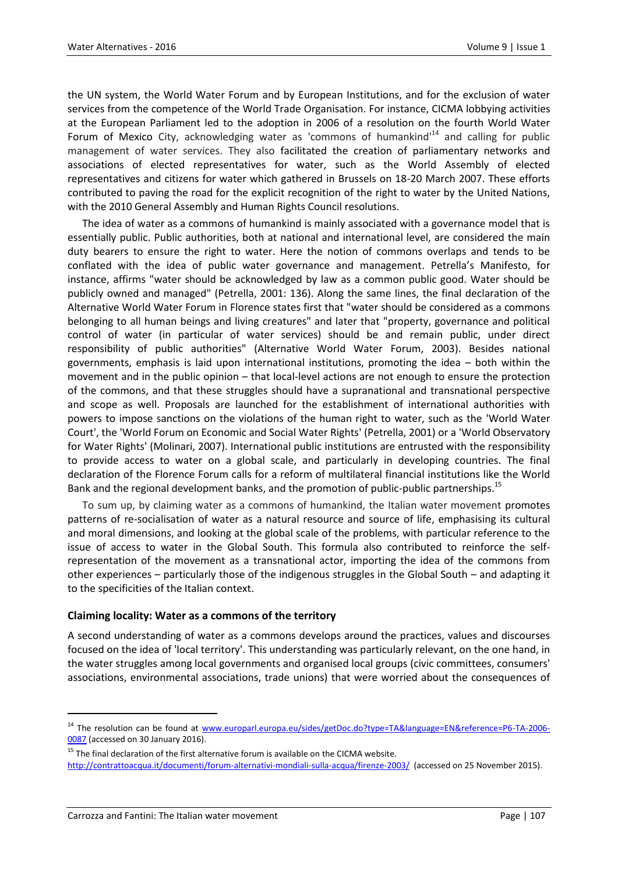the UN system, the World Water Forum and by European Institutions, and for the exclusion of water services from the competence of the World Trade Organisation. For instance, CICMA lobbying activities at the European Parliament led to the adoption in 2006 of a resolution on the fourth World Water Forum of Mexico City, acknowledging water as 'commons of humankind'<sup>14</sup> and calling for public management of water services. They also facilitated the creation of parliamentary networks and associations of elected representatives for water, such as the World Assembly of elected representatives and citizens for water which gathered in Brussels on 18-20 March 2007. These efforts contributed to paving the road for the explicit recognition of the right to water by the United Nations, with the 2010 General Assembly and Human Rights Council resolutions.

The idea of water as a commons of humankind is mainly associated with a governance model that is essentially public. Public authorities, both at national and international level, are considered the main duty bearers to ensure the right to water. Here the notion of commons overlaps and tends to be conflated with the idea of public water governance and management. Petrella's Manifesto, for instance, affirms "water should be acknowledged by law as a common public good. Water should be publicly owned and managed" (Petrella, 2001: 136). Along the same lines, the final declaration of the Alternative World Water Forum in Florence states first that "water should be considered as a commons belonging to all human beings and living creatures" and later that "property, governance and political control of water (in particular of water services) should be and remain public, under direct responsibility of public authorities" (Alternative World Water Forum, 2003). Besides national governments, emphasis is laid upon international institutions, promoting the idea – both within the movement and in the public opinion – that local-level actions are not enough to ensure the protection of the commons, and that these struggles should have a supranational and transnational perspective and scope as well. Proposals are launched for the establishment of international authorities with powers to impose sanctions on the violations of the human right to water, such as the 'World Water Court', the 'World Forum on Economic and Social Water Rights' (Petrella, 2001) or a 'World Observatory for Water Rights' (Molinari, 2007). International public institutions are entrusted with the responsibility to provide access to water on a global scale, and particularly in developing countries. The final declaration of the Florence Forum calls for a reform of multilateral financial institutions like the World Bank and the regional development banks, and the promotion of public-public partnerships.<sup>15</sup>

To sum up, by claiming water as a commons of humankind, the Italian water movement promotes patterns of re-socialisation of water as a natural resource and source of life, emphasising its cultural and moral dimensions, and looking at the global scale of the problems, with particular reference to the issue of access to water in the Global South. This formula also contributed to reinforce the selfrepresentation of the movement as a transnational actor, importing the idea of the commons from other experiences – particularly those of the indigenous struggles in the Global South – and adapting it to the specificities of the Italian context.

#### **Claiming locality: Water as a commons of the territory**

A second understanding of water as a commons develops around the practices, values and discourses focused on the idea of 'local territory'. This understanding was particularly relevant, on the one hand, in the water struggles among local governments and organised local groups (civic committees, consumers' associations, environmental associations, trade unions) that were worried about the consequences of

<sup>&</sup>lt;sup>14</sup> The resolution can be found at [www.europarl.europa.eu/sides/getDoc.do?type=TA&language=EN&reference=P6-TA-2006-](http://www.europarl.europa.eu/sides/getDoc.do?type=TA&language=EN&reference=P6-TA-2006-0087) [0087](http://www.europarl.europa.eu/sides/getDoc.do?type=TA&language=EN&reference=P6-TA-2006-0087) (accessed on 30 January 2016).

 $15$  The final declaration of the first alternative forum is available on the CICMA website.

<http://contrattoacqua.it/documenti/forum-alternativi-mondiali-sulla-acqua/firenze-2003/>(accessed on 25 November 2015).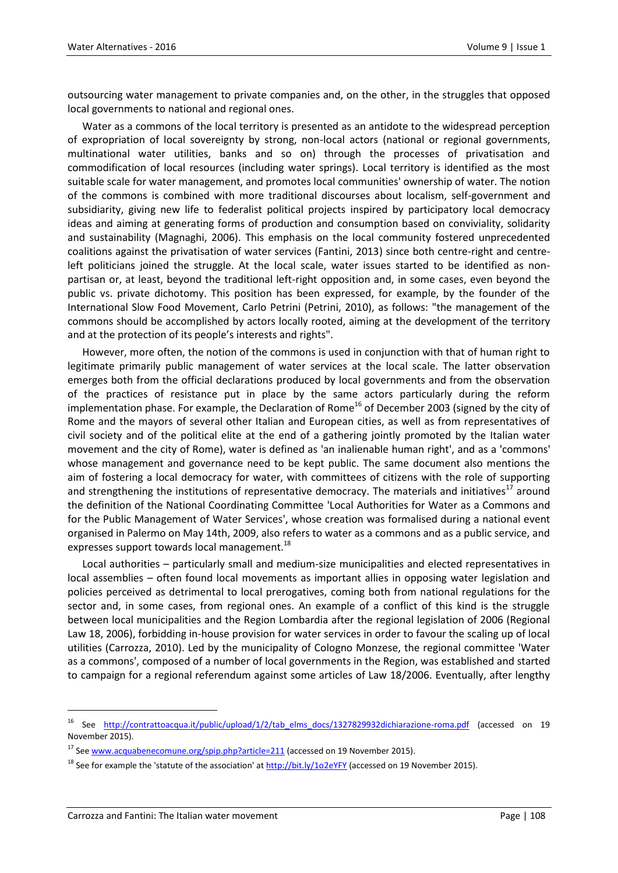outsourcing water management to private companies and, on the other, in the struggles that opposed local governments to national and regional ones.

Water as a commons of the local territory is presented as an antidote to the widespread perception of expropriation of local sovereignty by strong, non-local actors (national or regional governments, multinational water utilities, banks and so on) through the processes of privatisation and commodification of local resources (including water springs). Local territory is identified as the most suitable scale for water management, and promotes local communities' ownership of water. The notion of the commons is combined with more traditional discourses about localism, self-government and subsidiarity, giving new life to federalist political projects inspired by participatory local democracy ideas and aiming at generating forms of production and consumption based on conviviality, solidarity and sustainability (Magnaghi, 2006). This emphasis on the local community fostered unprecedented coalitions against the privatisation of water services (Fantini, 2013) since both centre-right and centreleft politicians joined the struggle. At the local scale, water issues started to be identified as nonpartisan or, at least, beyond the traditional left-right opposition and, in some cases, even beyond the public vs. private dichotomy. This position has been expressed, for example, by the founder of the International Slow Food Movement, Carlo Petrini (Petrini, 2010), as follows: "the management of the commons should be accomplished by actors locally rooted, aiming at the development of the territory and at the protection of its people's interests and rights".

However, more often, the notion of the commons is used in conjunction with that of human right to legitimate primarily public management of water services at the local scale. The latter observation emerges both from the official declarations produced by local governments and from the observation of the practices of resistance put in place by the same actors particularly during the reform implementation phase. For example, the Declaration of Rome<sup>16</sup> of December 2003 (signed by the city of Rome and the mayors of several other Italian and European cities, as well as from representatives of civil society and of the political elite at the end of a gathering jointly promoted by the Italian water movement and the city of Rome), water is defined as 'an inalienable human right', and as a 'commons' whose management and governance need to be kept public. The same document also mentions the aim of fostering a local democracy for water, with committees of citizens with the role of supporting and strengthening the institutions of representative democracy. The materials and initiatives<sup>17</sup> around the definition of the National Coordinating Committee 'Local Authorities for Water as a Commons and for the Public Management of Water Services', whose creation was formalised during a national event organised in Palermo on May 14th, 2009, also refers to water as a commons and as a public service, and expresses support towards local management.<sup>18</sup>

Local authorities – particularly small and medium-size municipalities and elected representatives in local assemblies – often found local movements as important allies in opposing water legislation and policies perceived as detrimental to local prerogatives, coming both from national regulations for the sector and, in some cases, from regional ones. An example of a conflict of this kind is the struggle between local municipalities and the Region Lombardia after the regional legislation of 2006 (Regional Law 18, 2006), forbidding in-house provision for water services in order to favour the scaling up of local utilities (Carrozza, 2010). Led by the municipality of Cologno Monzese, the regional committee 'Water as a commons', composed of a number of local governments in the Region, was established and started to campaign for a regional referendum against some articles of Law 18/2006. Eventually, after lengthy

<sup>16</sup> See [http://contrattoacqua.it/public/upload/1/2/tab\\_elms\\_docs/1327829932dichiarazione-roma.pdf](http://contrattoacqua.it/public/upload/1/2/tab_elms_docs/1327829932dichiarazione-roma.pdf) (accessed on 19 November 2015).

<sup>&</sup>lt;sup>17</sup> Se[e www.acquabenecomune.org/spip.php?article=211](http://www.acquabenecomune.org/spip.php?article=211) (accessed on 19 November 2015).

<sup>&</sup>lt;sup>18</sup> See for example the 'statute of the association' at  $\frac{http://bit.ly/102eYFY}{http://bit.ly/102eYFY}$  (accessed on 19 November 2015).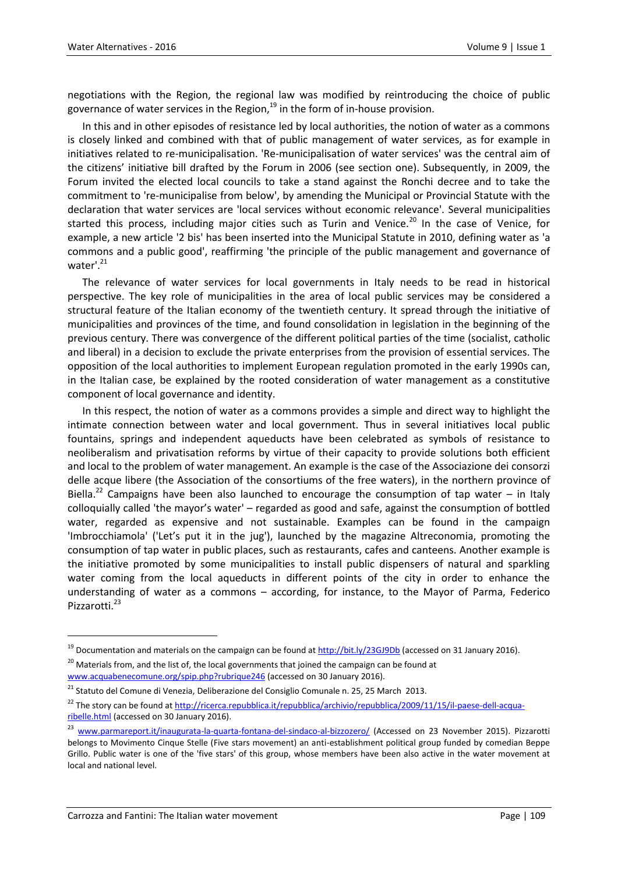negotiations with the Region, the regional law was modified by reintroducing the choice of public governance of water services in the Region, $19$  in the form of in-house provision.

In this and in other episodes of resistance led by local authorities, the notion of water as a commons is closely linked and combined with that of public management of water services, as for example in initiatives related to re-municipalisation. 'Re-municipalisation of water services' was the central aim of the citizens' initiative bill drafted by the Forum in 2006 (see section one). Subsequently, in 2009, the Forum invited the elected local councils to take a stand against the Ronchi decree and to take the commitment to 're-municipalise from below', by amending the Municipal or Provincial Statute with the declaration that water services are 'local services without economic relevance'. Several municipalities started this process, including major cities such as Turin and Venice.<sup>20</sup> In the case of Venice, for example, a new article '2 bis' has been inserted into the Municipal Statute in 2010, defining water as 'a commons and a public good', reaffirming 'the principle of the public management and governance of water'.<sup>21</sup>

The relevance of water services for local governments in Italy needs to be read in historical perspective. The key role of municipalities in the area of local public services may be considered a structural feature of the Italian economy of the twentieth century. It spread through the initiative of municipalities and provinces of the time, and found consolidation in legislation in the beginning of the previous century. There was convergence of the different political parties of the time (socialist, catholic and liberal) in a decision to exclude the private enterprises from the provision of essential services. The opposition of the local authorities to implement European regulation promoted in the early 1990s can, in the Italian case, be explained by the rooted consideration of water management as a constitutive component of local governance and identity.

In this respect, the notion of water as a commons provides a simple and direct way to highlight the intimate connection between water and local government. Thus in several initiatives local public fountains, springs and independent aqueducts have been celebrated as symbols of resistance to neoliberalism and privatisation reforms by virtue of their capacity to provide solutions both efficient and local to the problem of water management. An example is the case of the Associazione dei consorzi delle acque libere (the Association of the consortiums of the free waters), in the northern province of Biella.<sup>22</sup> Campaigns have been also launched to encourage the consumption of tap water – in Italy colloquially called 'the mayor's water' – regarded as good and safe, against the consumption of bottled water, regarded as expensive and not sustainable. Examples can be found in the campaign 'Imbrocchiamola' ('Let's put it in the jug'), launched by the magazine Altreconomia, promoting the consumption of tap water in public places, such as restaurants, cafes and canteens. Another example is the initiative promoted by some municipalities to install public dispensers of natural and sparkling water coming from the local aqueducts in different points of the city in order to enhance the understanding of water as a commons – according, for instance, to the Mayor of Parma, Federico Pizzarotti.<sup>23</sup>

<sup>&</sup>lt;sup>19</sup> Documentation and materials on the campaign can be found a[t http://bit.ly/23GJ9Db](http://bit.ly/23GJ9Db) (accessed on 31 January 2016).

<sup>&</sup>lt;sup>20</sup> Materials from, and the list of, the local governments that joined the campaign can be found at [www.acquabenecomune.org/spip.php?rubrique246](http://www.acquabenecomune.org/spip.php?rubrique246) (accessed on 30 January 2016).

<sup>21</sup> Statuto del Comune di Venezia, Deliberazione del Consiglio Comunale n. 25, 25 March 2013.

<sup>&</sup>lt;sup>22</sup> The story can be found a[t http://ricerca.repubblica.it/repubblica/archivio/repubblica/2009/11/15/il-paese-dell-acqua](http://ricerca.repubblica.it/repubblica/archivio/repubblica/2009/11/15/il-paese-dell-acqua-ribelle.html)[ribelle.html](http://ricerca.repubblica.it/repubblica/archivio/repubblica/2009/11/15/il-paese-dell-acqua-ribelle.html) (accessed on 30 January 2016).

<sup>&</sup>lt;sup>23</sup> [www.parmareport.it/inaugurata-la-quarta-fontana-del-sindaco-al-bizzozero/](http://www.parmareport.it/inaugurata-la-quarta-fontana-del-sindaco-al-bizzozero/) (Accessed on 23 November 2015). Pizzarotti belongs to Movimento Cinque Stelle (Five stars movement) an anti-establishment political group funded by comedian Beppe Grillo. Public water is one of the 'five stars' of this group, whose members have been also active in the water movement at local and national level.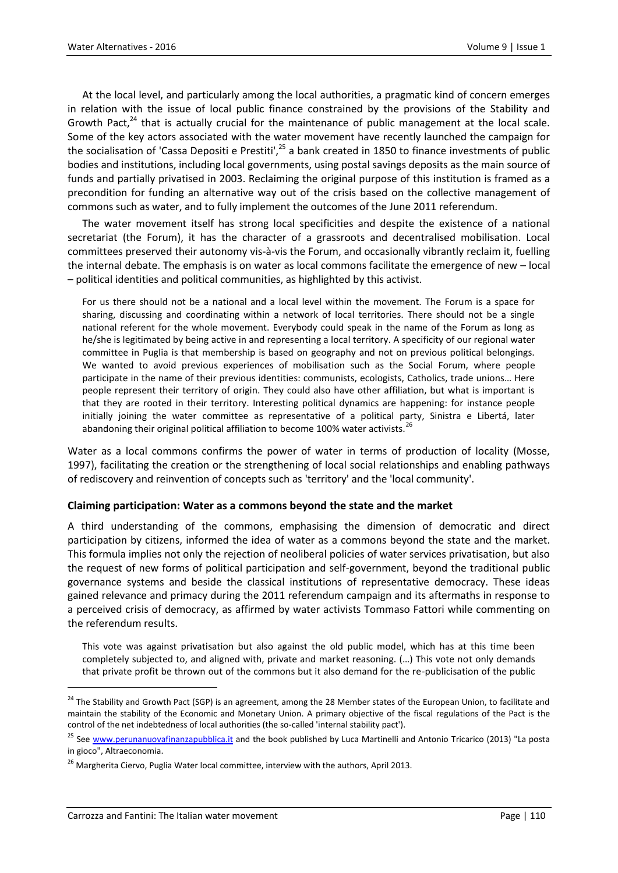At the local level, and particularly among the local authorities, a pragmatic kind of concern emerges in relation with the issue of local public finance constrained by the provisions of the Stability and Growth Pact, $24$  that is actually crucial for the maintenance of public management at the local scale. Some of the key actors associated with the water movement have recently launched the campaign for the socialisation of 'Cassa Depositi e Prestiti',<sup>25</sup> a bank created in 1850 to finance investments of public bodies and institutions, including local governments, using postal savings deposits as the main source of funds and partially privatised in 2003. Reclaiming the original purpose of this institution is framed as a precondition for funding an alternative way out of the crisis based on the collective management of commons such as water, and to fully implement the outcomes of the June 2011 referendum.

The water movement itself has strong local specificities and despite the existence of a national secretariat (the Forum), it has the character of a grassroots and decentralised mobilisation. Local committees preserved their autonomy vis-à-vis the Forum, and occasionally vibrantly reclaim it, fuelling the internal debate. The emphasis is on water as local commons facilitate the emergence of new – local – political identities and political communities, as highlighted by this activist.

For us there should not be a national and a local level within the movement. The Forum is a space for sharing, discussing and coordinating within a network of local territories. There should not be a single national referent for the whole movement. Everybody could speak in the name of the Forum as long as he/she is legitimated by being active in and representing a local territory. A specificity of our regional water committee in Puglia is that membership is based on geography and not on previous political belongings. We wanted to avoid previous experiences of mobilisation such as the Social Forum, where people participate in the name of their previous identities: communists, ecologists, Catholics, trade unions… Here people represent their territory of origin. They could also have other affiliation, but what is important is that they are rooted in their territory. Interesting political dynamics are happening: for instance people initially joining the water committee as representative of a political party, Sinistra e Libertá, later abandoning their original political affiliation to become 100% water activists.<sup>26</sup>

Water as a local commons confirms the power of water in terms of production of locality (Mosse, 1997), facilitating the creation or the strengthening of local social relationships and enabling pathways of rediscovery and reinvention of concepts such as 'territory' and the 'local community'.

#### **Claiming participation: Water as a commons beyond the state and the market**

A third understanding of the commons, emphasising the dimension of democratic and direct participation by citizens, informed the idea of water as a commons beyond the state and the market. This formula implies not only the rejection of neoliberal policies of water services privatisation, but also the request of new forms of political participation and self-government, beyond the traditional public governance systems and beside the classical institutions of representative democracy. These ideas gained relevance and primacy during the 2011 referendum campaign and its aftermaths in response to a perceived crisis of democracy, as affirmed by water activists Tommaso Fattori while commenting on the referendum results.

This vote was against privatisation but also against the old public model, which has at this time been completely subjected to, and aligned with, private and market reasoning. (…) This vote not only demands that private profit be thrown out of the commons but it also demand for the re-publicisation of the public

<sup>&</sup>lt;sup>24</sup> The Stability and Growth Pact (SGP) is an agreement, among the 28 Member states of the European Union, to facilitate and maintain the stability of the Economic and Monetary Union. A primary objective of the fiscal regulations of the Pact is the control of the net indebtedness of local authorities (the so-called 'internal stability pact').

<sup>&</sup>lt;sup>25</sup> See [www.perunanuovafinanzapubblica.it](http://www.perunanuovafinanzapubblica.it/) and the book published by Luca Martinelli and Antonio Tricarico (2013) "La posta in gioco", Altraeconomia.

 $26$  Margherita Ciervo, Puglia Water local committee, interview with the authors, April 2013.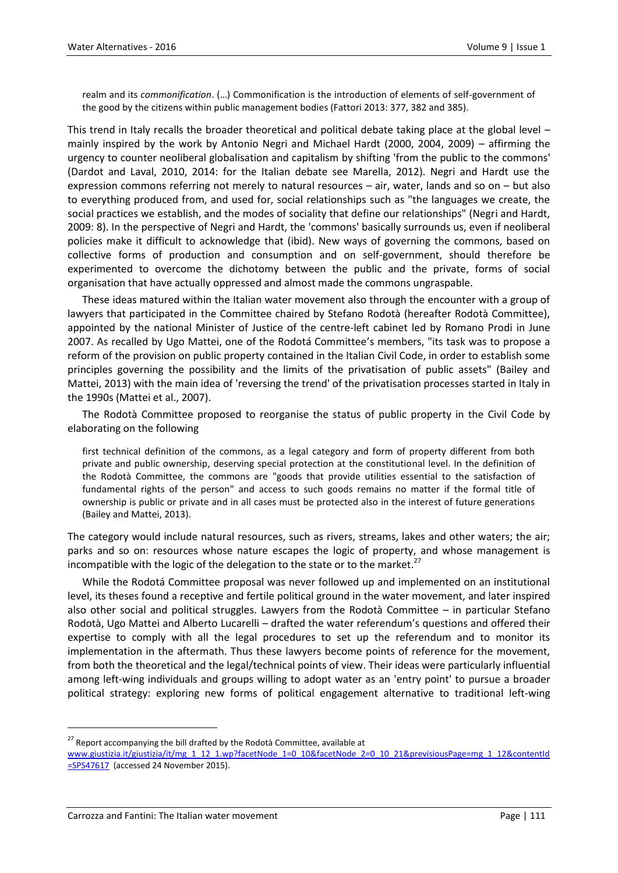realm and its *commonification*. (…) Commonification is the introduction of elements of self-government of the good by the citizens within public management bodies (Fattori 2013: 377, 382 and 385).

This trend in Italy recalls the broader theoretical and political debate taking place at the global level – mainly inspired by the work by Antonio Negri and Michael Hardt (2000, 2004, 2009) – affirming the urgency to counter neoliberal globalisation and capitalism by shifting 'from the public to the commons' (Dardot and Laval, 2010, 2014: for the Italian debate see Marella, 2012). Negri and Hardt use the expression commons referring not merely to natural resources – air, water, lands and so on – but also to everything produced from, and used for, social relationships such as "the languages we create, the social practices we establish, and the modes of sociality that define our relationships" (Negri and Hardt, 2009: 8). In the perspective of Negri and Hardt, the 'commons' basically surrounds us, even if neoliberal policies make it difficult to acknowledge that (ibid). New ways of governing the commons, based on collective forms of production and consumption and on self-government, should therefore be experimented to overcome the dichotomy between the public and the private, forms of social organisation that have actually oppressed and almost made the commons ungraspable.

These ideas matured within the Italian water movement also through the encounter with a group of lawyers that participated in the Committee chaired by Stefano Rodotà (hereafter Rodotà Committee), appointed by the national Minister of Justice of the centre-left cabinet led by Romano Prodi in June 2007. As recalled by Ugo Mattei, one of the Rodotá Committee's members, "its task was to propose a reform of the provision on public property contained in the Italian Civil Code, in order to establish some principles governing the possibility and the limits of the privatisation of public assets" (Bailey and Mattei, 2013) with the main idea of 'reversing the trend' of the privatisation processes started in Italy in the 1990s (Mattei et al., 2007).

The Rodotà Committee proposed to reorganise the status of public property in the Civil Code by elaborating on the following

first technical definition of the commons, as a legal category and form of property different from both private and public ownership, deserving special protection at the constitutional level. In the definition of the Rodotà Committee, the commons are "goods that provide utilities essential to the satisfaction of fundamental rights of the person" and access to such goods remains no matter if the formal title of ownership is public or private and in all cases must be protected also in the interest of future generations (Bailey and Mattei, 2013).

The category would include natural resources, such as rivers, streams, lakes and other waters; the air; parks and so on: resources whose nature escapes the logic of property, and whose management is incompatible with the logic of the delegation to the state or to the market.<sup>27</sup>

While the Rodotá Committee proposal was never followed up and implemented on an institutional level, its theses found a receptive and fertile political ground in the water movement, and later inspired also other social and political struggles. Lawyers from the Rodotà Committee – in particular Stefano Rodotà, Ugo Mattei and Alberto Lucarelli – drafted the water referendum's questions and offered their expertise to comply with all the legal procedures to set up the referendum and to monitor its implementation in the aftermath. Thus these lawyers become points of reference for the movement, from both the theoretical and the legal/technical points of view. Their ideas were particularly influential among left-wing individuals and groups willing to adopt water as an 'entry point' to pursue a broader political strategy: exploring new forms of political engagement alternative to traditional left-wing

 $27$  Report accompanying the bill drafted by the Rodotà Committee, available at

[www.giustizia.it/giustizia/it/mg\\_1\\_12\\_1.wp?facetNode\\_1=0\\_10&facetNode\\_2=0\\_10\\_21&previsiousPage=mg\\_1\\_12&contentId](http://www.giustizia.it/giustizia/it/mg_1_12_1.wp?facetNode_1=0_10&facetNode_2=0_10_21&previsiousPage=mg_1_12&contentId=SPS47617) [=SPS47617](http://www.giustizia.it/giustizia/it/mg_1_12_1.wp?facetNode_1=0_10&facetNode_2=0_10_21&previsiousPage=mg_1_12&contentId=SPS47617) (accessed 24 November 2015).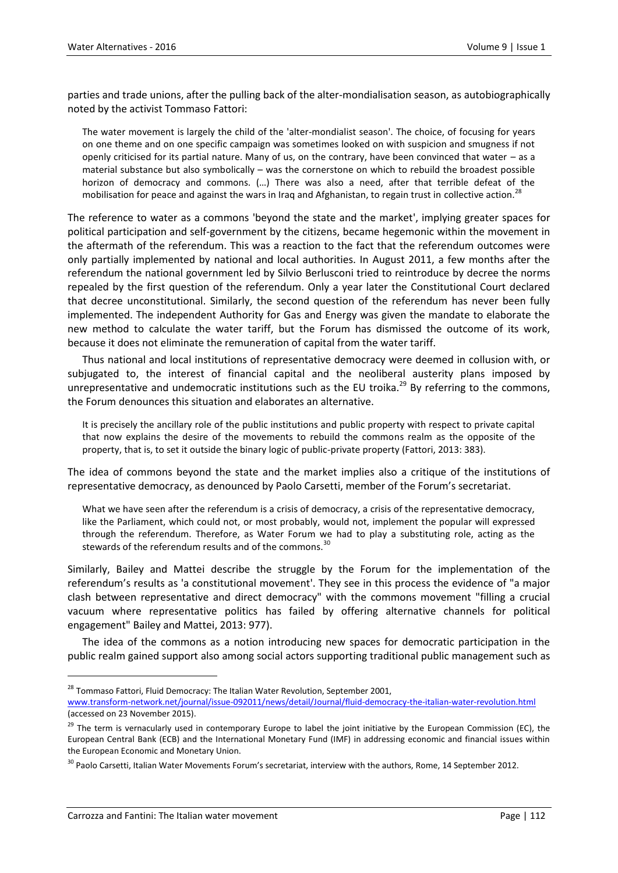parties and trade unions, after the pulling back of the alter-mondialisation season, as autobiographically noted by the activist Tommaso Fattori:

The water movement is largely the child of the 'alter-mondialist season'. The choice, of focusing for years on one theme and on one specific campaign was sometimes looked on with suspicion and smugness if not openly criticised for its partial nature. Many of us, on the contrary, have been convinced that water – as a material substance but also symbolically – was the cornerstone on which to rebuild the broadest possible horizon of democracy and commons. (…) There was also a need, after that terrible defeat of the mobilisation for peace and against the wars in Iraq and Afghanistan, to regain trust in collective action.<sup>28</sup>

The reference to water as a commons 'beyond the state and the market', implying greater spaces for political participation and self-government by the citizens, became hegemonic within the movement in the aftermath of the referendum. This was a reaction to the fact that the referendum outcomes were only partially implemented by national and local authorities. In August 2011, a few months after the referendum the national government led by Silvio Berlusconi tried to reintroduce by decree the norms repealed by the first question of the referendum. Only a year later the Constitutional Court declared that decree unconstitutional. Similarly, the second question of the referendum has never been fully implemented. The independent Authority for Gas and Energy was given the mandate to elaborate the new method to calculate the water tariff, but the Forum has dismissed the outcome of its work, because it does not eliminate the remuneration of capital from the water tariff.

Thus national and local institutions of representative democracy were deemed in collusion with, or subjugated to, the interest of financial capital and the neoliberal austerity plans imposed by unrepresentative and undemocratic institutions such as the EU troika.<sup>29</sup> By referring to the commons, the Forum denounces this situation and elaborates an alternative.

It is precisely the ancillary role of the public institutions and public property with respect to private capital that now explains the desire of the movements to rebuild the commons realm as the opposite of the property, that is, to set it outside the binary logic of public-private property (Fattori, 2013: 383).

The idea of commons beyond the state and the market implies also a critique of the institutions of representative democracy, as denounced by Paolo Carsetti, member of the Forum's secretariat.

What we have seen after the referendum is a crisis of democracy, a crisis of the representative democracy, like the Parliament, which could not, or most probably, would not, implement the popular will expressed through the referendum. Therefore, as Water Forum we had to play a substituting role, acting as the stewards of the referendum results and of the commons.  $30$ 

Similarly, Bailey and Mattei describe the struggle by the Forum for the implementation of the referendum's results as 'a constitutional movement'. They see in this process the evidence of "a major clash between representative and direct democracy" with the commons movement "filling a crucial vacuum where representative politics has failed by offering alternative channels for political engagement" Bailey and Mattei, 2013: 977).

The idea of the commons as a notion introducing new spaces for democratic participation in the public realm gained support also among social actors supporting traditional public management such as

 $^{28}$  Tommaso Fattori, Fluid Democracy: The Italian Water Revolution, September 2001, [www.transform-network.net/journal/issue-092011/news/detail/Journal/fluid-democracy-the-italian-water-revolution.html](http://www.transform-network.net/journal/issue-092011/news/detail/Journal/fluid-democracy-the-italian-water-revolution.html)

<sup>(</sup>accessed on 23 November 2015).

<sup>&</sup>lt;sup>29</sup> The term is vernacularly used in contemporary Europe to label the joint initiative by the European Commission (EC), the European Central Bank (ECB) and the International Monetary Fund (IMF) in addressing economic and financial issues within the European Economic and Monetary Union.

 $30$  Paolo Carsetti, Italian Water Movements Forum's secretariat, interview with the authors, Rome, 14 September 2012.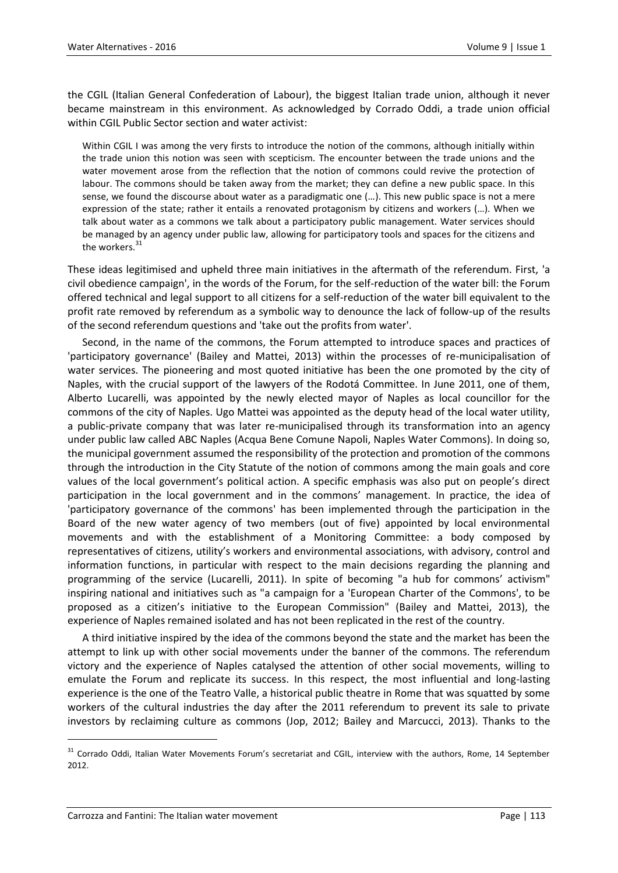the CGIL (Italian General Confederation of Labour), the biggest Italian trade union, although it never became mainstream in this environment. As acknowledged by Corrado Oddi, a trade union official within CGIL Public Sector section and water activist:

Within CGIL I was among the very firsts to introduce the notion of the commons, although initially within the trade union this notion was seen with scepticism. The encounter between the trade unions and the water movement arose from the reflection that the notion of commons could revive the protection of labour. The commons should be taken away from the market; they can define a new public space. In this sense, we found the discourse about water as a paradigmatic one (...). This new public space is not a mere expression of the state; rather it entails a renovated protagonism by citizens and workers (…). When we talk about water as a commons we talk about a participatory public management. Water services should be managed by an agency under public law, allowing for participatory tools and spaces for the citizens and the workers. $31$ 

These ideas legitimised and upheld three main initiatives in the aftermath of the referendum. First, 'a civil obedience campaign', in the words of the Forum, for the self-reduction of the water bill: the Forum offered technical and legal support to all citizens for a self-reduction of the water bill equivalent to the profit rate removed by referendum as a symbolic way to denounce the lack of follow-up of the results of the second referendum questions and 'take out the profits from water'.

Second, in the name of the commons, the Forum attempted to introduce spaces and practices of 'participatory governance' (Bailey and Mattei, 2013) within the processes of re-municipalisation of water services. The pioneering and most quoted initiative has been the one promoted by the city of Naples, with the crucial support of the lawyers of the Rodotá Committee. In June 2011, one of them, Alberto Lucarelli, was appointed by the newly elected mayor of Naples as local councillor for the commons of the city of Naples. Ugo Mattei was appointed as the deputy head of the local water utility, a public-private company that was later re-municipalised through its transformation into an agency under public law called ABC Naples (Acqua Bene Comune Napoli, Naples Water Commons). In doing so, the municipal government assumed the responsibility of the protection and promotion of the commons through the introduction in the City Statute of the notion of commons among the main goals and core values of the local government's political action. A specific emphasis was also put on people's direct participation in the local government and in the commons' management. In practice, the idea of 'participatory governance of the commons' has been implemented through the participation in the Board of the new water agency of two members (out of five) appointed by local environmental movements and with the establishment of a Monitoring Committee: a body composed by representatives of citizens, utility's workers and environmental associations, with advisory, control and information functions, in particular with respect to the main decisions regarding the planning and programming of the service (Lucarelli, 2011). In spite of becoming "a hub for commons' activism" inspiring national and initiatives such as "a campaign for a 'European Charter of the Commons', to be proposed as a citizen's initiative to the European Commission" (Bailey and Mattei, 2013), the experience of Naples remained isolated and has not been replicated in the rest of the country.

A third initiative inspired by the idea of the commons beyond the state and the market has been the attempt to link up with other social movements under the banner of the commons. The referendum victory and the experience of Naples catalysed the attention of other social movements, willing to emulate the Forum and replicate its success. In this respect, the most influential and long-lasting experience is the one of the Teatro Valle, a historical public theatre in Rome that was squatted by some workers of the cultural industries the day after the 2011 referendum to prevent its sale to private investors by reclaiming culture as commons (Jop, 2012; Bailey and Marcucci, 2013). Thanks to the

<sup>&</sup>lt;sup>31</sup> Corrado Oddi, Italian Water Movements Forum's secretariat and CGIL, interview with the authors, Rome, 14 September 2012.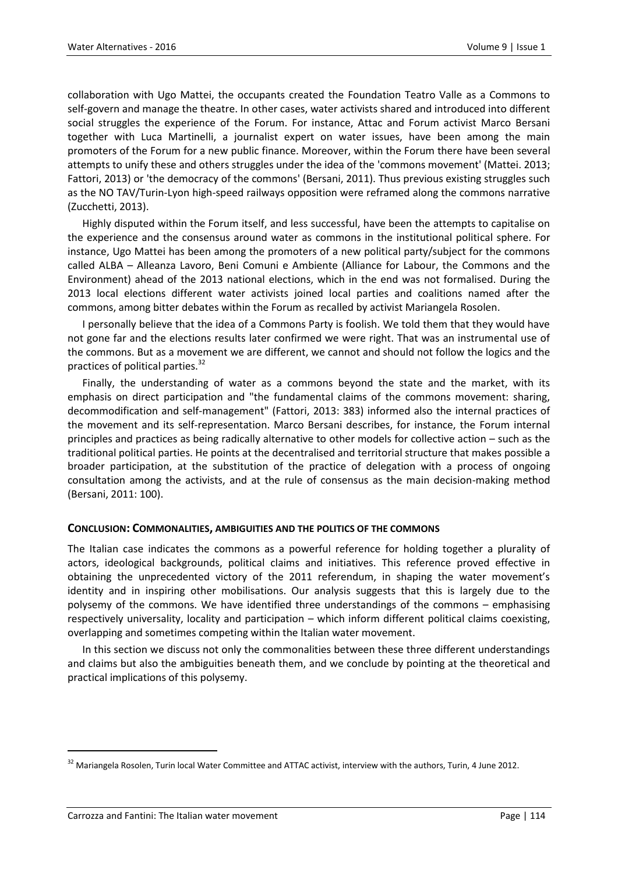collaboration with Ugo Mattei, the occupants created the Foundation Teatro Valle as a Commons to self-govern and manage the theatre. In other cases, water activists shared and introduced into different social struggles the experience of the Forum. For instance, Attac and Forum activist Marco Bersani together with Luca Martinelli, a journalist expert on water issues, have been among the main promoters of the Forum for a new public finance. Moreover, within the Forum there have been several attempts to unify these and others struggles under the idea of the 'commons movement' (Mattei. 2013; Fattori, 2013) or 'the democracy of the commons' (Bersani, 2011). Thus previous existing struggles such as the NO TAV/Turin-Lyon high-speed railways opposition were reframed along the commons narrative (Zucchetti, 2013).

Highly disputed within the Forum itself, and less successful, have been the attempts to capitalise on the experience and the consensus around water as commons in the institutional political sphere. For instance, Ugo Mattei has been among the promoters of a new political party/subject for the commons called ALBA – Alleanza Lavoro, Beni Comuni e Ambiente (Alliance for Labour, the Commons and the Environment) ahead of the 2013 national elections, which in the end was not formalised. During the 2013 local elections different water activists joined local parties and coalitions named after the commons, among bitter debates within the Forum as recalled by activist Mariangela Rosolen.

I personally believe that the idea of a Commons Party is foolish. We told them that they would have not gone far and the elections results later confirmed we were right. That was an instrumental use of the commons. But as a movement we are different, we cannot and should not follow the logics and the practices of political parties.<sup>32</sup>

Finally, the understanding of water as a commons beyond the state and the market, with its emphasis on direct participation and "the fundamental claims of the commons movement: sharing, decommodification and self-management" (Fattori, 2013: 383) informed also the internal practices of the movement and its self-representation. Marco Bersani describes, for instance, the Forum internal principles and practices as being radically alternative to other models for collective action – such as the traditional political parties. He points at the decentralised and territorial structure that makes possible a broader participation, at the substitution of the practice of delegation with a process of ongoing consultation among the activists, and at the rule of consensus as the main decision-making method (Bersani, 2011: 100).

#### **CONCLUSION: COMMONALITIES, AMBIGUITIES AND THE POLITICS OF THE COMMONS**

The Italian case indicates the commons as a powerful reference for holding together a plurality of actors, ideological backgrounds, political claims and initiatives. This reference proved effective in obtaining the unprecedented victory of the 2011 referendum, in shaping the water movement's identity and in inspiring other mobilisations. Our analysis suggests that this is largely due to the polysemy of the commons. We have identified three understandings of the commons – emphasising respectively universality, locality and participation – which inform different political claims coexisting, overlapping and sometimes competing within the Italian water movement.

In this section we discuss not only the commonalities between these three different understandings and claims but also the ambiguities beneath them, and we conclude by pointing at the theoretical and practical implications of this polysemy.

<sup>&</sup>lt;sup>32</sup> Mariangela Rosolen, Turin local Water Committee and ATTAC activist, interview with the authors, Turin, 4 June 2012.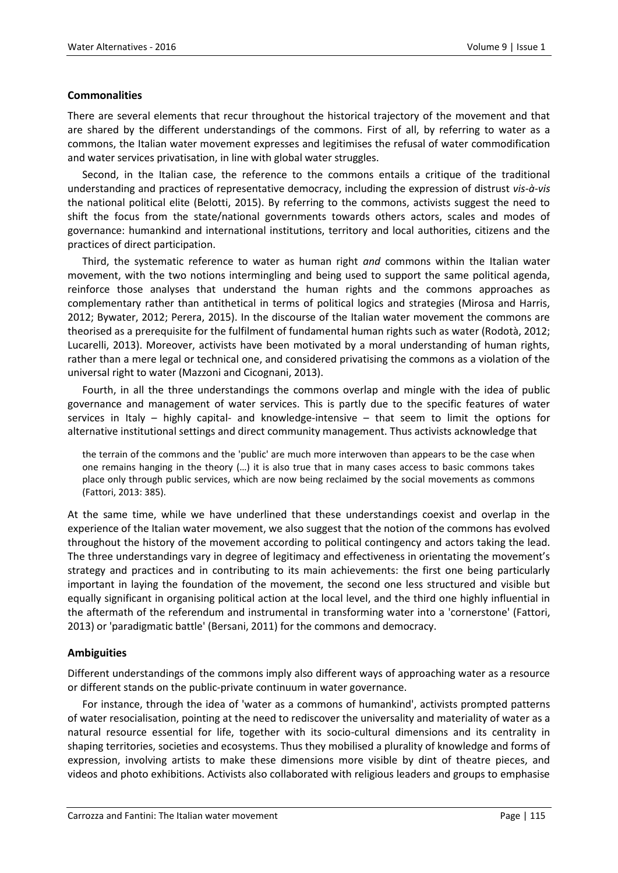#### **Commonalities**

There are several elements that recur throughout the historical trajectory of the movement and that are shared by the different understandings of the commons. First of all, by referring to water as a commons, the Italian water movement expresses and legitimises the refusal of water commodification and water services privatisation, in line with global water struggles.

Second, in the Italian case, the reference to the commons entails a critique of the traditional understanding and practices of representative democracy, including the expression of distrust *vis-à-vis* the national political elite (Belotti, 2015). By referring to the commons, activists suggest the need to shift the focus from the state/national governments towards others actors, scales and modes of governance: humankind and international institutions, territory and local authorities, citizens and the practices of direct participation.

Third, the systematic reference to water as human right *and* commons within the Italian water movement, with the two notions intermingling and being used to support the same political agenda, reinforce those analyses that understand the human rights and the commons approaches as complementary rather than antithetical in terms of political logics and strategies (Mirosa and Harris, 2012; Bywater, 2012; Perera, 2015). In the discourse of the Italian water movement the commons are theorised as a prerequisite for the fulfilment of fundamental human rights such as water (Rodotà, 2012; Lucarelli, 2013). Moreover, activists have been motivated by a moral understanding of human rights, rather than a mere legal or technical one, and considered privatising the commons as a violation of the universal right to water (Mazzoni and Cicognani, 2013).

Fourth, in all the three understandings the commons overlap and mingle with the idea of public governance and management of water services. This is partly due to the specific features of water services in Italy – highly capital- and knowledge-intensive – that seem to limit the options for alternative institutional settings and direct community management. Thus activists acknowledge that

the terrain of the commons and the 'public' are much more interwoven than appears to be the case when one remains hanging in the theory (…) it is also true that in many cases access to basic commons takes place only through public services, which are now being reclaimed by the social movements as commons (Fattori, 2013: 385).

At the same time, while we have underlined that these understandings coexist and overlap in the experience of the Italian water movement, we also suggest that the notion of the commons has evolved throughout the history of the movement according to political contingency and actors taking the lead. The three understandings vary in degree of legitimacy and effectiveness in orientating the movement's strategy and practices and in contributing to its main achievements: the first one being particularly important in laying the foundation of the movement, the second one less structured and visible but equally significant in organising political action at the local level, and the third one highly influential in the aftermath of the referendum and instrumental in transforming water into a 'cornerstone' (Fattori, 2013) or 'paradigmatic battle' (Bersani, 2011) for the commons and democracy.

#### **Ambiguities**

Different understandings of the commons imply also different ways of approaching water as a resource or different stands on the public-private continuum in water governance.

For instance, through the idea of 'water as a commons of humankind', activists prompted patterns of water resocialisation, pointing at the need to rediscover the universality and materiality of water as a natural resource essential for life, together with its socio-cultural dimensions and its centrality in shaping territories, societies and ecosystems. Thus they mobilised a plurality of knowledge and forms of expression, involving artists to make these dimensions more visible by dint of theatre pieces, and videos and photo exhibitions. Activists also collaborated with religious leaders and groups to emphasise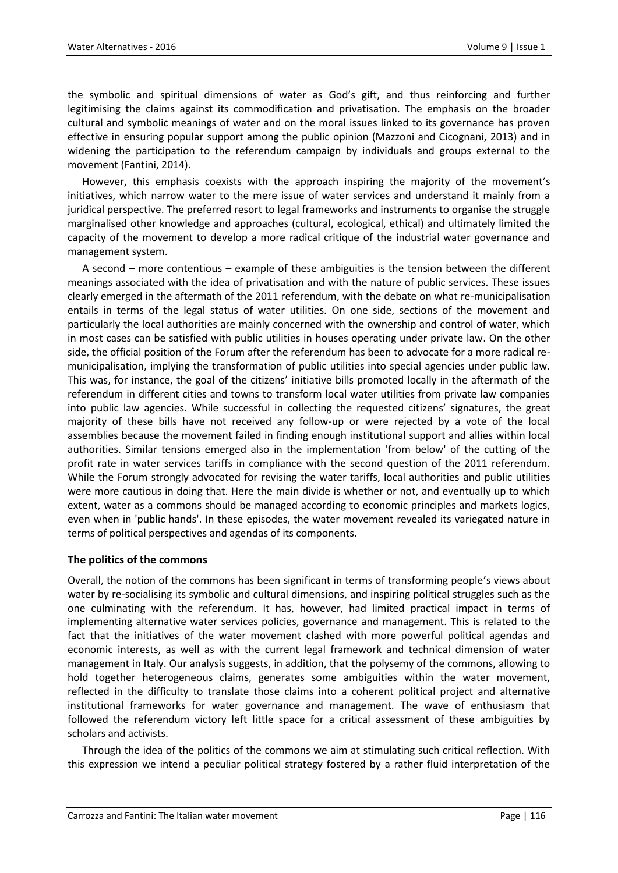the symbolic and spiritual dimensions of water as God's gift, and thus reinforcing and further legitimising the claims against its commodification and privatisation. The emphasis on the broader cultural and symbolic meanings of water and on the moral issues linked to its governance has proven effective in ensuring popular support among the public opinion (Mazzoni and Cicognani, 2013) and in widening the participation to the referendum campaign by individuals and groups external to the movement (Fantini, 2014).

However, this emphasis coexists with the approach inspiring the majority of the movement's initiatives, which narrow water to the mere issue of water services and understand it mainly from a juridical perspective. The preferred resort to legal frameworks and instruments to organise the struggle marginalised other knowledge and approaches (cultural, ecological, ethical) and ultimately limited the capacity of the movement to develop a more radical critique of the industrial water governance and management system.

A second – more contentious – example of these ambiguities is the tension between the different meanings associated with the idea of privatisation and with the nature of public services. These issues clearly emerged in the aftermath of the 2011 referendum, with the debate on what re-municipalisation entails in terms of the legal status of water utilities. On one side, sections of the movement and particularly the local authorities are mainly concerned with the ownership and control of water, which in most cases can be satisfied with public utilities in houses operating under private law. On the other side, the official position of the Forum after the referendum has been to advocate for a more radical remunicipalisation, implying the transformation of public utilities into special agencies under public law. This was, for instance, the goal of the citizens' initiative bills promoted locally in the aftermath of the referendum in different cities and towns to transform local water utilities from private law companies into public law agencies. While successful in collecting the requested citizens' signatures, the great majority of these bills have not received any follow-up or were rejected by a vote of the local assemblies because the movement failed in finding enough institutional support and allies within local authorities. Similar tensions emerged also in the implementation 'from below' of the cutting of the profit rate in water services tariffs in compliance with the second question of the 2011 referendum. While the Forum strongly advocated for revising the water tariffs, local authorities and public utilities were more cautious in doing that. Here the main divide is whether or not, and eventually up to which extent, water as a commons should be managed according to economic principles and markets logics, even when in 'public hands'. In these episodes, the water movement revealed its variegated nature in terms of political perspectives and agendas of its components.

#### **The politics of the commons**

Overall, the notion of the commons has been significant in terms of transforming people's views about water by re-socialising its symbolic and cultural dimensions, and inspiring political struggles such as the one culminating with the referendum. It has, however, had limited practical impact in terms of implementing alternative water services policies, governance and management. This is related to the fact that the initiatives of the water movement clashed with more powerful political agendas and economic interests, as well as with the current legal framework and technical dimension of water management in Italy. Our analysis suggests, in addition, that the polysemy of the commons, allowing to hold together heterogeneous claims, generates some ambiguities within the water movement, reflected in the difficulty to translate those claims into a coherent political project and alternative institutional frameworks for water governance and management. The wave of enthusiasm that followed the referendum victory left little space for a critical assessment of these ambiguities by scholars and activists.

Through the idea of the politics of the commons we aim at stimulating such critical reflection. With this expression we intend a peculiar political strategy fostered by a rather fluid interpretation of the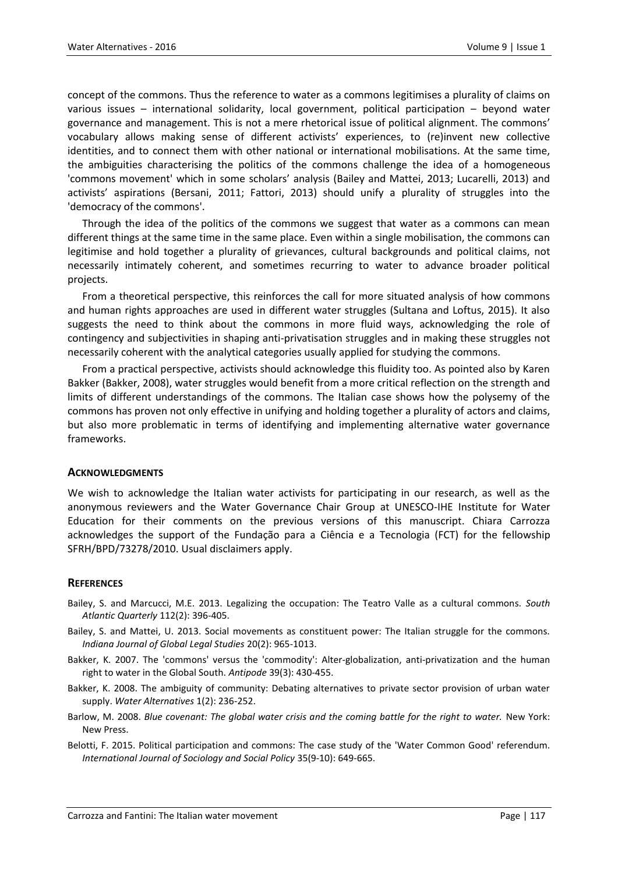concept of the commons. Thus the reference to water as a commons legitimises a plurality of claims on various issues – international solidarity, local government, political participation – beyond water governance and management. This is not a mere rhetorical issue of political alignment. The commons' vocabulary allows making sense of different activists' experiences, to (re)invent new collective identities, and to connect them with other national or international mobilisations. At the same time, the ambiguities characterising the politics of the commons challenge the idea of a homogeneous 'commons movement' which in some scholars' analysis (Bailey and Mattei, 2013; Lucarelli, 2013) and activists' aspirations (Bersani, 2011; Fattori, 2013) should unify a plurality of struggles into the 'democracy of the commons'.

Through the idea of the politics of the commons we suggest that water as a commons can mean different things at the same time in the same place. Even within a single mobilisation, the commons can legitimise and hold together a plurality of grievances, cultural backgrounds and political claims, not necessarily intimately coherent, and sometimes recurring to water to advance broader political projects.

From a theoretical perspective, this reinforces the call for more situated analysis of how commons and human rights approaches are used in different water struggles (Sultana and Loftus, 2015). It also suggests the need to think about the commons in more fluid ways, acknowledging the role of contingency and subjectivities in shaping anti-privatisation struggles and in making these struggles not necessarily coherent with the analytical categories usually applied for studying the commons.

From a practical perspective, activists should acknowledge this fluidity too. As pointed also by Karen Bakker (Bakker, 2008), water struggles would benefit from a more critical reflection on the strength and limits of different understandings of the commons. The Italian case shows how the polysemy of the commons has proven not only effective in unifying and holding together a plurality of actors and claims, but also more problematic in terms of identifying and implementing alternative water governance frameworks.

#### **ACKNOWLEDGMENTS**

We wish to acknowledge the Italian water activists for participating in our research, as well as the anonymous reviewers and the Water Governance Chair Group at UNESCO-IHE Institute for Water Education for their comments on the previous versions of this manuscript. Chiara Carrozza acknowledges the support of the Fundação para a Ciência e a Tecnologia (FCT) for the fellowship SFRH/BPD/73278/2010. Usual disclaimers apply.

#### **REFERENCES**

- Bailey, S. and Marcucci, M.E. 2013. Legalizing the occupation: The Teatro Valle as a cultural commons. *South Atlantic Quarterly* 112(2): 396-405.
- Bailey, [S.](http://muse.jhu.edu/results?section1=author&search1=Saki%20Bailey) and [Mattei,](http://muse.jhu.edu/results?section1=author&search1=Ugo%20Mattei) [U.](http://muse.jhu.edu/results?section1=author&search1=Ugo%20Mattei) 2013. Social movements as constituent power: The Italian struggle for the commons[.](http://muse.jhu.edu/journals/indiana_journal_of_global_legal_studies) *Indiana Journal of Global Legal Studies* [2](http://muse.jhu.edu/journals/indiana_journal_of_global_legal_studies)0(2): 965-1013.
- Bakker, K. 2007. The 'commons' versus the 'commodity': Alter-globalization, anti-privatization and the human right to water in the Global South. *Antipode* 39(3): 430-455.
- Bakker, K. 2008. The ambiguity of community: Debating alternatives to private sector provision of urban water supply. *Water Alternatives* 1(2): 236-252.
- Barlow, M. 2008. *Blue covenant: The global water crisis and the coming battle for the right to water.* New York: New Press.
- Belotti, F. 2015. Political participation and commons: The case study of the 'Water Common Good' referendum. *International Journal of Sociology and Social Policy* 35(9-10): 649-665.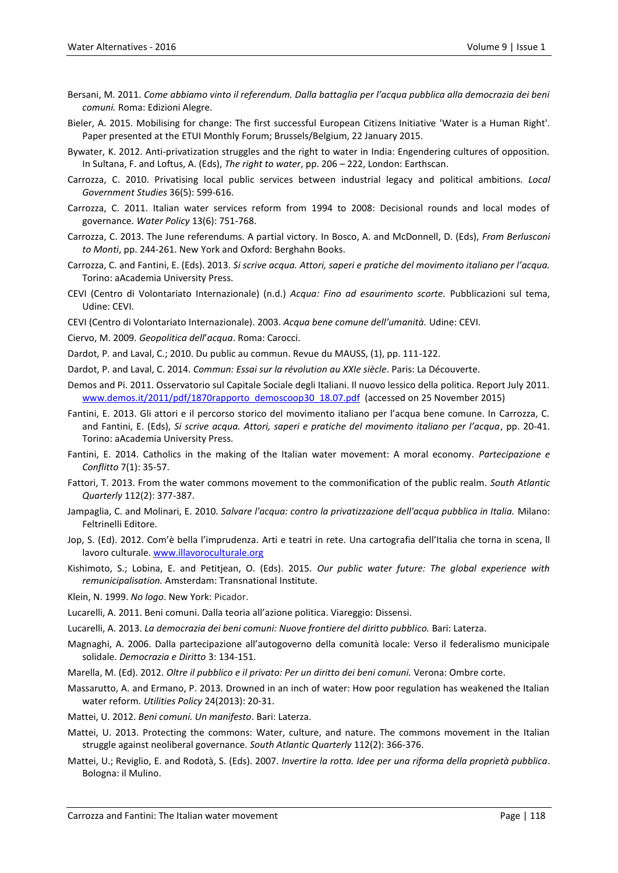- Bersani, M. 2011. *Come abbiamo vinto il referendum. Dalla battaglia per l'acqua pubblica alla democrazia dei beni comuni.* Roma: Edizioni Alegre.
- Bieler, A. 2015. Mobilising for change: The first successful European Citizens Initiative 'Water is a Human Right'. Paper presented at the ETUI Monthly Forum; Brussels/Belgium, 22 January 2015.
- Bywater, K. 2012. Anti-privatization struggles and the right to water in India: Engendering cultures of opposition. In Sultana, F. and Loftus, A. (Eds), *The right to water*, pp. 206 – 222, London: Earthscan.
- Carrozza, C. 2010. Privatising local public services between industrial legacy and political ambitions. *Local Government Studies* 36(5): 599-616.
- Carrozza, C. 2011. Italian water services reform from 1994 to 2008: Decisional rounds and local modes of governance. *Water Policy* 13(6): 751-768.
- Carrozza, C. 2013. The June referendums. A partial victory. In Bosco, A. and McDonnell, D. (Eds), *From Berlusconi to Monti*, pp. 244-261. New York and Oxford: Berghahn Books.
- Carrozza, C. and Fantini, E. (Eds). 2013. *Si scrive acqua. Attori, saperi e pratiche del movimento italiano per l'acqua.* Torino: aAcademia University Press.
- CEVI (Centro di Volontariato Internazionale) (n.d.) *Acqua: Fino ad esaurimento scorte.* Pubblicazioni sul tema, Udine: CEVI.
- CEVI (Centro di Volontariato Internazionale). 2003. *Acqua bene comune dell'umanità.* Udine: CEVI.
- Ciervo, M. 2009. *Geopolitica dell*'*acqua*. Roma: Carocci.
- Dardot, P. and Laval, C.; 2010. Du public au commun. Revue du MAUSS, (1), pp. 111-122.
- Dardot, P. and Laval, C. 2014. *Commun: Essai sur la révolution au XXIe siècle*. Paris: La Découverte.
- Demos and Pi. 2011. Osservatorio sul Capitale Sociale degli Italiani. Il nuovo lessico della politica. Report July 2011. [www.demos.it/2011/pdf/1870rapporto\\_demoscoop30\\_18.07.pdf](http://www.demos.it/2011/pdf/1870rapporto_demoscoop30_18.07.pdf) (accessed on 25 November 2015)
- Fantini, E. 2013. Gli attori e il percorso storico del movimento italiano per l'acqua bene comune. In Carrozza, C. and Fantini, E. (Eds), *Si scrive acqua. Attori, saperi e pratiche del movimento italiano per l'acqua*, pp. 20-41. Torino: aAcademia University Press.
- Fantini, E. 2014. Catholics in the making of the Italian water movement: A moral economy. *Partecipazione e Conflitto* 7(1): 35-57.
- Fattori, T. 2013. From the water commons movement to the commonification of the public realm. *South Atlantic Quarterly* 112(2): 377-387.
- Jampaglia, C. and Molinari, E. 2010. *Salvare l'acqua: contro la privatizzazione dell'acqua pubblica in Italia.* Milano: Feltrinelli Editore.
- Jop, S. (Ed). 2012. Com'è bella l'imprudenza. Arti e teatri in rete. Una cartografia dell'Italia che torna in scena, ll lavoro culturale. [www.illavoroculturale.org](http://www.illavoroculturale.org/)
- Kishimoto, S.; Lobina, E. and Petitjean, O. (Eds). 2015. *Our public water future: The global experience with remunicipalisation.* Amsterdam: Transnational Institute.
- Klein, N. 1999. *No logo*. New York: Picador.
- Lucarelli, A. 2011. Beni comuni. Dalla teoria all'azione politica. Viareggio: Dissensi.
- Lucarelli, A. 2013. *La democrazia dei beni comuni: Nuove frontiere del diritto pubblico.* Bari: Laterza.
- Magnaghi, A. 2006. Dalla partecipazione all'autogoverno della comunità locale: Verso il federalismo municipale solidale. *Democrazia e Diritto* 3: 134-151.
- Marella, M. (Ed). 2012. *Oltre il pubblico e il privato: Per un diritto dei beni comuni.* Verona: Ombre corte.
- Massarutto, A. and Ermano, P. 2013. Drowned in an inch of water: How poor regulation has weakened the Italian water reform. *Utilities Policy* 24(2013): 20-31.
- Mattei, U. 2012. *Beni comuni. Un manifesto*. Bari: Laterza.
- Mattei, U. 2013. Protecting the commons: Water, culture, and nature. The commons movement in the Italian struggle against neoliberal governance. *South Atlantic Quarterly* 112(2): 366-376.
- Mattei, U.; Reviglio, E. and Rodotà, S. (Eds). 2007. *Invertire la rotta. Idee per una riforma della proprietà pubblica*. Bologna: il Mulino.